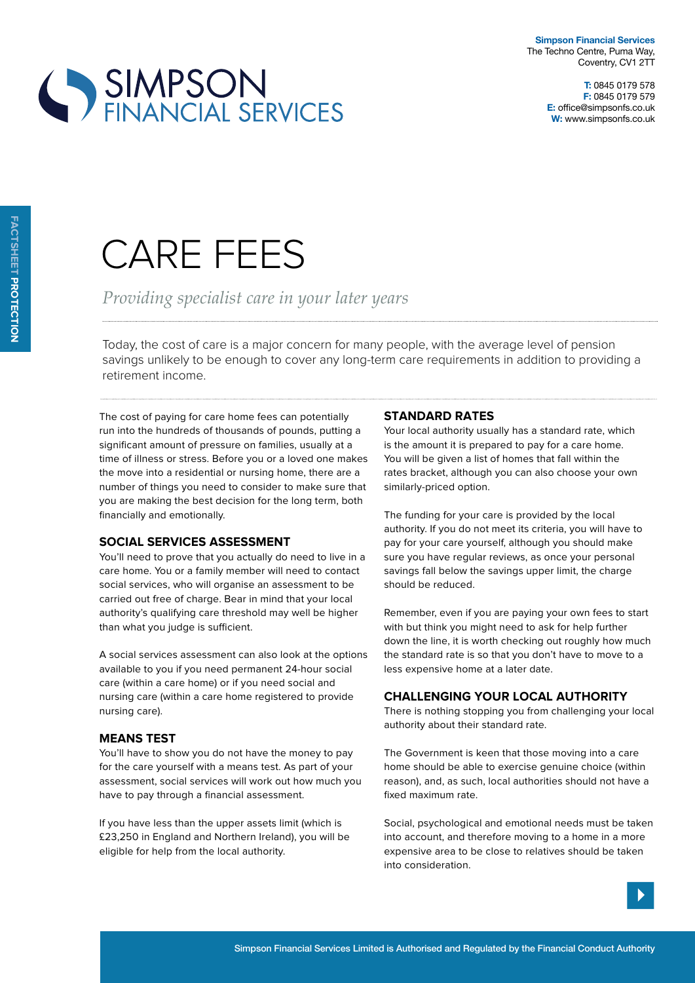



# Care fees

## *Providing specialist care in your later years*

Today, the cost of care is a major concern for many people, with the average level of pension savings unlikely to be enough to cover any long-term care requirements in addition to providing a retirement income.

The cost of paying for care home fees can potentially run into the hundreds of thousands of pounds, putting a significant amount of pressure on families, usually at a time of illness or stress. Before you or a loved one makes the move into a residential or nursing home, there are a number of things you need to consider to make sure that you are making the best decision for the long term, both financially and emotionally.

#### **Social services assessment**

You'll need to prove that you actually do need to live in a care home. You or a family member will need to contact social services, who will organise an assessment to be carried out free of charge. Bear in mind that your local authority's qualifying care threshold may well be higher than what you judge is sufficient.

A social services assessment can also look at the options available to you if you need permanent 24-hour social care (within a care home) or if you need social and nursing care (within a care home registered to provide nursing care).

## **Means test**

You'll have to show you do not have the money to pay for the care yourself with a means test. As part of your assessment, social services will work out how much you have to pay through a financial assessment.

If you have less than the upper assets limit (which is £23,250 in England and Northern Ireland), you will be eligible for help from the local authority.

#### **Standard rates**

Your local authority usually has a standard rate, which is the amount it is prepared to pay for a care home. You will be given a list of homes that fall within the rates bracket, although you can also choose your own similarly-priced option.

The funding for your care is provided by the local authority. If you do not meet its criteria, you will have to pay for your care yourself, although you should make sure you have regular reviews, as once your personal savings fall below the savings upper limit, the charge should be reduced.

Remember, even if you are paying your own fees to start with but think you might need to ask for help further down the line, it is worth checking out roughly how much the standard rate is so that you don't have to move to a less expensive home at a later date.

## **Challenging your local authority**

There is nothing stopping you from challenging your local authority about their standard rate.

The Government is keen that those moving into a care home should be able to exercise genuine choice (within reason), and, as such, local authorities should not have a fixed maximum rate.

Social, psychological and emotional needs must be taken into account, and therefore moving to a home in a more expensive area to be close to relatives should be taken into consideration.